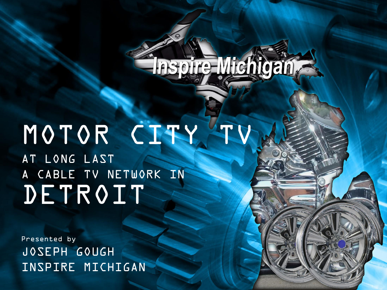# Thspire Michigan

# MOTOR CITY AT LONG LAST A CABLE TV NETWORK IN DETROIT

Presented by JOSEPH GOUGH INSPIRE MICHIGAN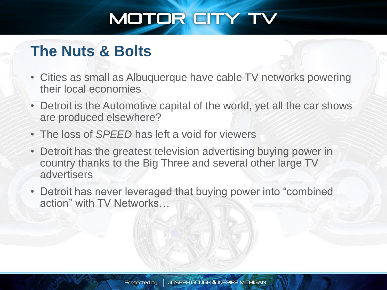#### **The Nuts & Bolts**

- Cities as small as Albuquerque have cable TV networks powering their local economies
- Detroit is the Automotive capital of the world, yet all the car shows are produced elsewhere?
- The loss of *SPEED* has left a void for viewers
- Detroit has the greatest television advertising buying power in country thanks to the Big Three and several other large TV advertisers
- Detroit has never leveraged that buying power into "combined action" with TV Networks…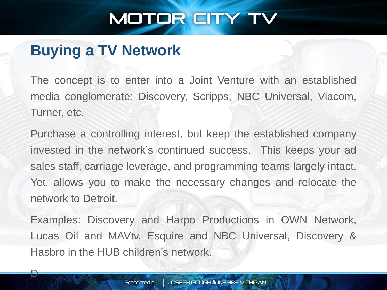#### **Buying a TV Network**

D

The concept is to enter into a Joint Venture with an established media conglomerate: Discovery, Scripps, NBC Universal, Viacom, Turner, etc.

Purchase a controlling interest, but keep the established company invested in the network's continued success. This keeps your ad sales staff, carriage leverage, and programming teams largely intact. Yet, allows you to make the necessary changes and relocate the network to Detroit.

Examples: Discovery and Harpo Productions in OWN Network, Lucas Oil and MAVtv, Esquire and NBC Universal, Discovery & Hasbro in the HUB children's network.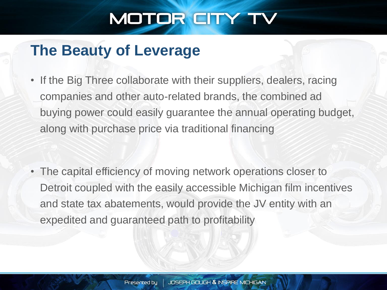#### **The Beauty of Leverage**

• If the Big Three collaborate with their suppliers, dealers, racing companies and other auto-related brands, the combined ad buying power could easily guarantee the annual operating budget, along with purchase price via traditional financing

• The capital efficiency of moving network operations closer to Detroit coupled with the easily accessible Michigan film incentives and state tax abatements, would provide the JV entity with an expedited and guaranteed path to profitability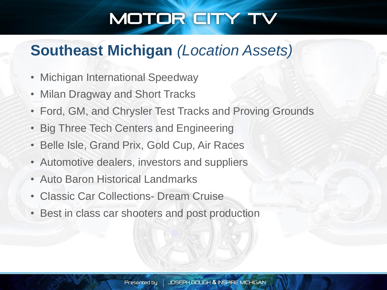#### **Southeast Michigan** *(Location Assets)*

- **Michigan International Speedway**
- Milan Dragway and Short Tracks
- Ford, GM, and Chrysler Test Tracks and Proving Grounds
- Big Three Tech Centers and Engineering
- Belle Isle, Grand Prix, Gold Cup, Air Races
- Automotive dealers, investors and suppliers
- Auto Baron Historical Landmarks
- Classic Car Collections- Dream Cruise
- Best in class car shooters and post production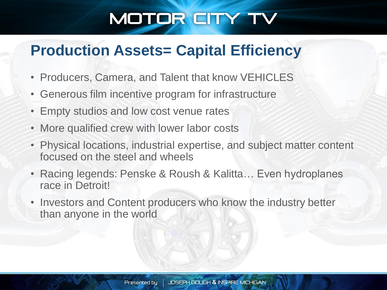#### **Production Assets= Capital Efficiency**

- Producers, Camera, and Talent that know VEHICLES
- Generous film incentive program for infrastructure
- Empty studios and low cost venue rates
- More qualified crew with lower labor costs
- Physical locations, industrial expertise, and subject matter content focused on the steel and wheels
- Racing legends: Penske & Roush & Kalitta… Even hydroplanes race in Detroit!
- Investors and Content producers who know the industry better than anyone in the world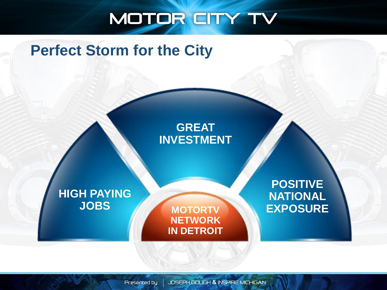#### **Perfect Storm for the City**

#### **GREAT INVESTMENT**

**HIGH PAYING JOBS**

**MOTORTV NETWORK IN DETROIT**

**POSITIVE NATIONAL EXPOSURE**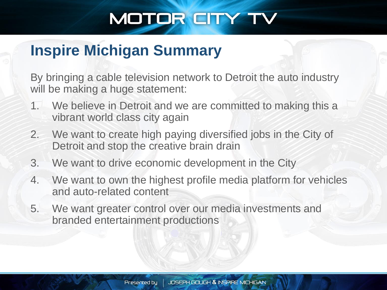#### **Inspire Michigan Summary**

By bringing a cable television network to Detroit the auto industry will be making a huge statement:

- 1. We believe in Detroit and we are committed to making this a vibrant world class city again
- 2. We want to create high paying diversified jobs in the City of Detroit and stop the creative brain drain
- 3. We want to drive economic development in the City
- 4. We want to own the highest profile media platform for vehicles and auto-related content
- 5. We want greater control over our media investments and branded entertainment productions